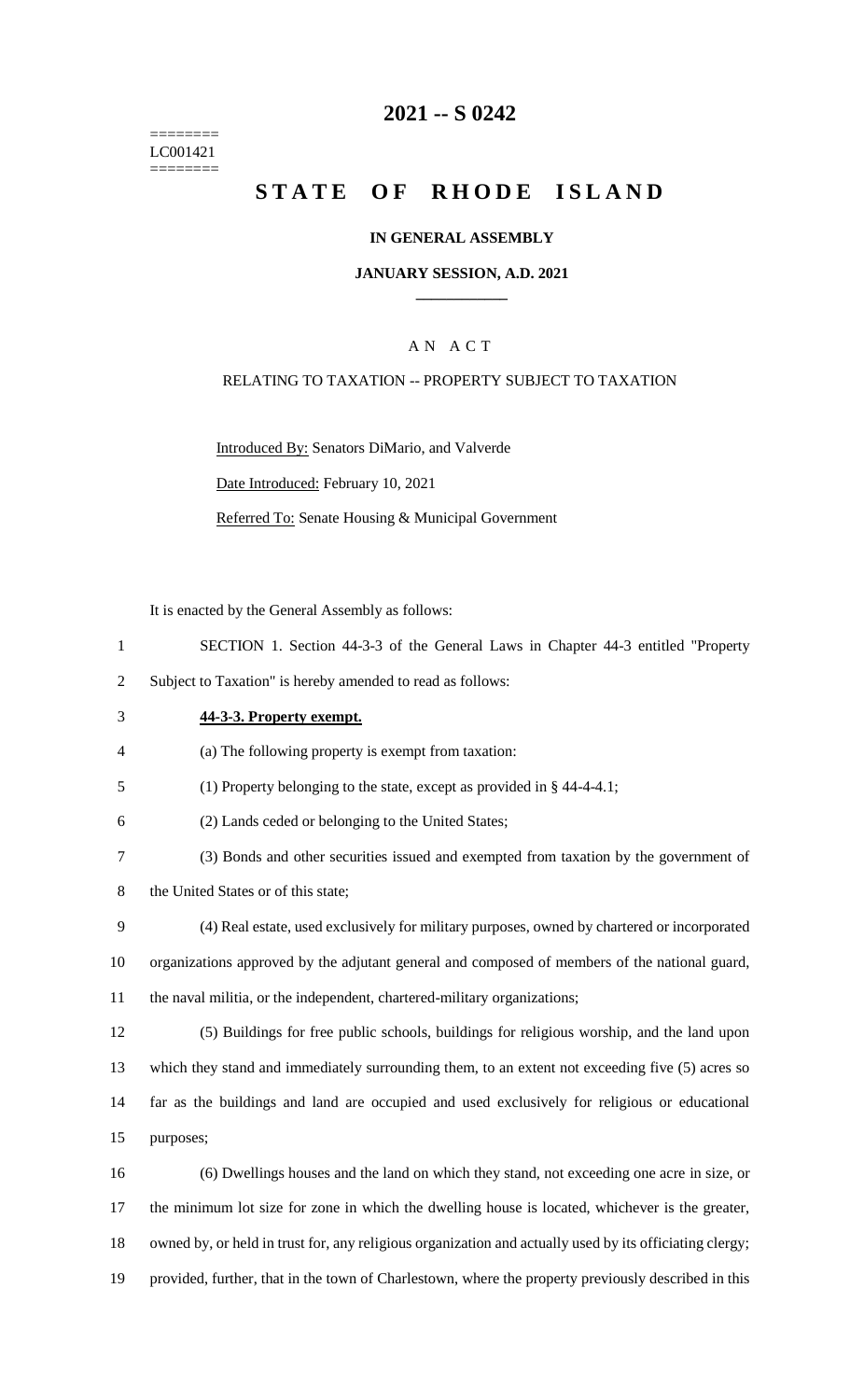======== LC001421 ========

# **2021 -- S 0242**

# **STATE OF RHODE ISLAND**

### **IN GENERAL ASSEMBLY**

### **JANUARY SESSION, A.D. 2021 \_\_\_\_\_\_\_\_\_\_\_\_**

### A N A C T

### RELATING TO TAXATION -- PROPERTY SUBJECT TO TAXATION

Introduced By: Senators DiMario, and Valverde

Date Introduced: February 10, 2021

Referred To: Senate Housing & Municipal Government

It is enacted by the General Assembly as follows:

- 1 SECTION 1. Section 44-3-3 of the General Laws in Chapter 44-3 entitled "Property
- 2 Subject to Taxation" is hereby amended to read as follows:
- 

### 3 **44-3-3. Property exempt.**

- 4 (a) The following property is exempt from taxation:
- 5 (1) Property belonging to the state, except as provided in § 44-4-4.1;
- 6 (2) Lands ceded or belonging to the United States;
- 7 (3) Bonds and other securities issued and exempted from taxation by the government of
- 8 the United States or of this state;
- 9 (4) Real estate, used exclusively for military purposes, owned by chartered or incorporated 10 organizations approved by the adjutant general and composed of members of the national guard, 11 the naval militia, or the independent, chartered-military organizations;
- 12 (5) Buildings for free public schools, buildings for religious worship, and the land upon 13 which they stand and immediately surrounding them, to an extent not exceeding five (5) acres so 14 far as the buildings and land are occupied and used exclusively for religious or educational 15 purposes;
- 16 (6) Dwellings houses and the land on which they stand, not exceeding one acre in size, or 17 the minimum lot size for zone in which the dwelling house is located, whichever is the greater, 18 owned by, or held in trust for, any religious organization and actually used by its officiating clergy; 19 provided, further, that in the town of Charlestown, where the property previously described in this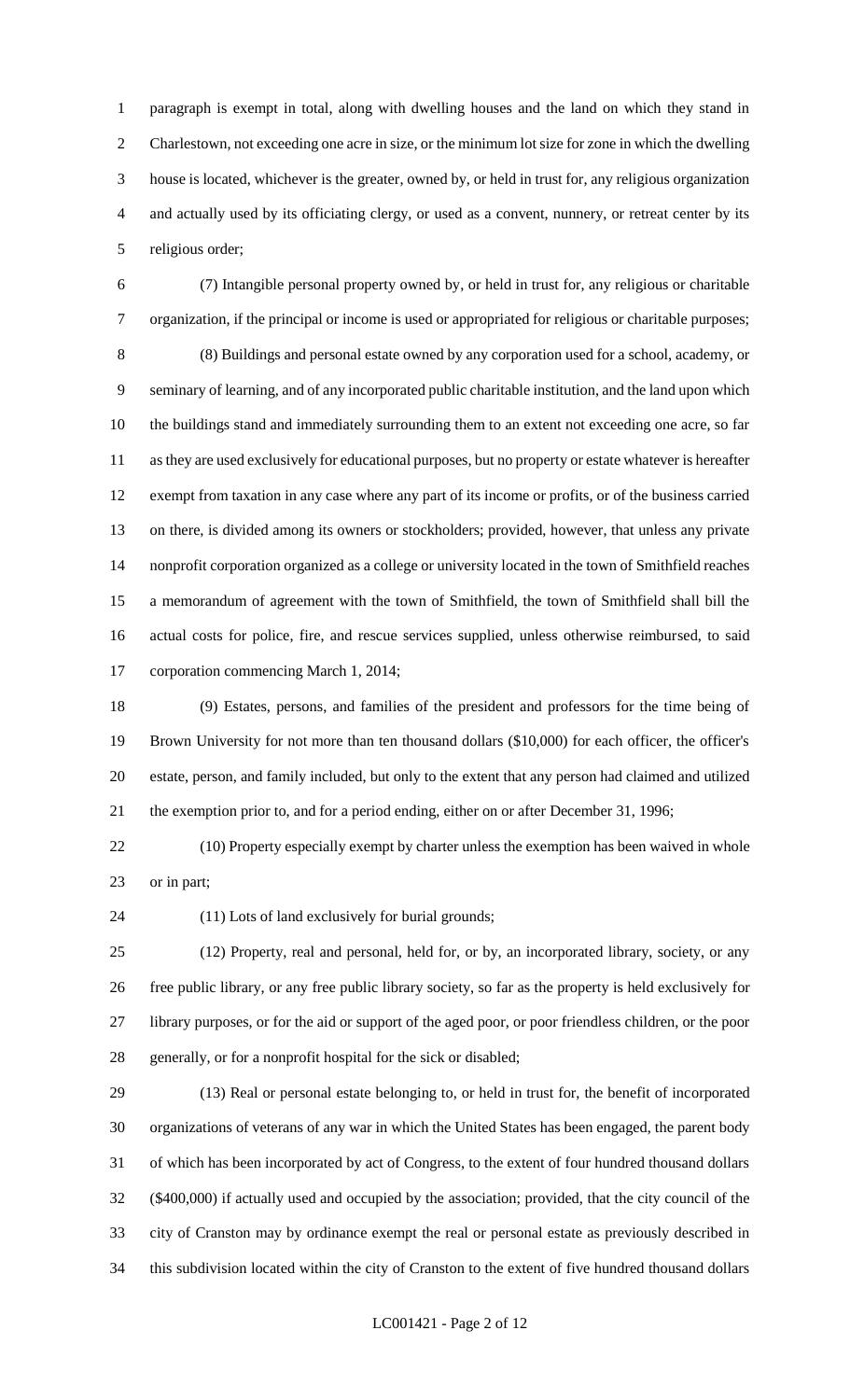paragraph is exempt in total, along with dwelling houses and the land on which they stand in Charlestown, not exceeding one acre in size, or the minimum lot size for zone in which the dwelling house is located, whichever is the greater, owned by, or held in trust for, any religious organization and actually used by its officiating clergy, or used as a convent, nunnery, or retreat center by its religious order;

 (7) Intangible personal property owned by, or held in trust for, any religious or charitable organization, if the principal or income is used or appropriated for religious or charitable purposes; (8) Buildings and personal estate owned by any corporation used for a school, academy, or seminary of learning, and of any incorporated public charitable institution, and the land upon which the buildings stand and immediately surrounding them to an extent not exceeding one acre, so far as they are used exclusively for educational purposes, but no property or estate whatever is hereafter exempt from taxation in any case where any part of its income or profits, or of the business carried on there, is divided among its owners or stockholders; provided, however, that unless any private nonprofit corporation organized as a college or university located in the town of Smithfield reaches a memorandum of agreement with the town of Smithfield, the town of Smithfield shall bill the actual costs for police, fire, and rescue services supplied, unless otherwise reimbursed, to said corporation commencing March 1, 2014;

 (9) Estates, persons, and families of the president and professors for the time being of Brown University for not more than ten thousand dollars (\$10,000) for each officer, the officer's estate, person, and family included, but only to the extent that any person had claimed and utilized the exemption prior to, and for a period ending, either on or after December 31, 1996;

 (10) Property especially exempt by charter unless the exemption has been waived in whole or in part;

(11) Lots of land exclusively for burial grounds;

 (12) Property, real and personal, held for, or by, an incorporated library, society, or any free public library, or any free public library society, so far as the property is held exclusively for library purposes, or for the aid or support of the aged poor, or poor friendless children, or the poor generally, or for a nonprofit hospital for the sick or disabled;

 (13) Real or personal estate belonging to, or held in trust for, the benefit of incorporated organizations of veterans of any war in which the United States has been engaged, the parent body of which has been incorporated by act of Congress, to the extent of four hundred thousand dollars (\$400,000) if actually used and occupied by the association; provided, that the city council of the city of Cranston may by ordinance exempt the real or personal estate as previously described in this subdivision located within the city of Cranston to the extent of five hundred thousand dollars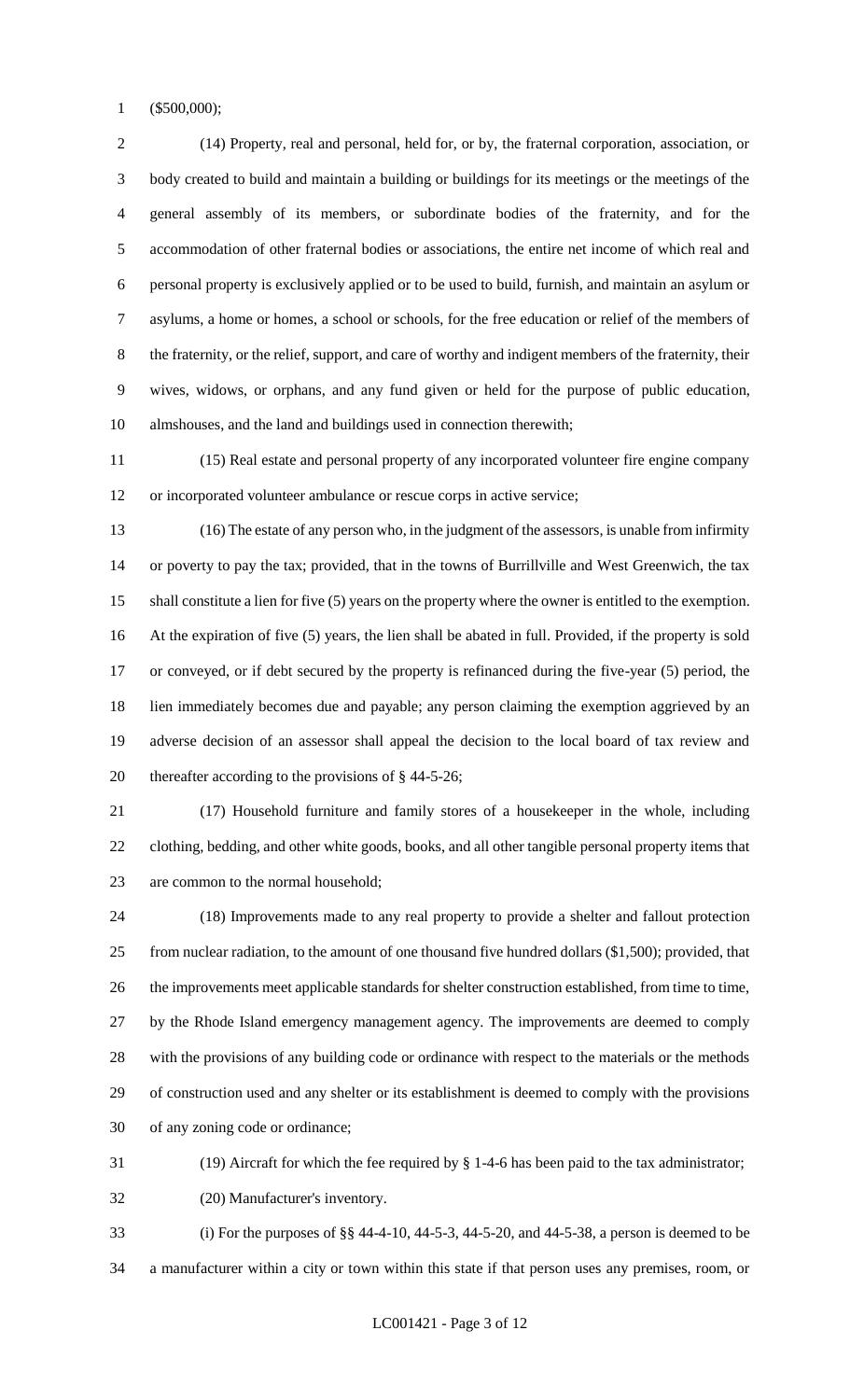(\$500,000);

 (14) Property, real and personal, held for, or by, the fraternal corporation, association, or body created to build and maintain a building or buildings for its meetings or the meetings of the general assembly of its members, or subordinate bodies of the fraternity, and for the accommodation of other fraternal bodies or associations, the entire net income of which real and personal property is exclusively applied or to be used to build, furnish, and maintain an asylum or asylums, a home or homes, a school or schools, for the free education or relief of the members of the fraternity, or the relief, support, and care of worthy and indigent members of the fraternity, their wives, widows, or orphans, and any fund given or held for the purpose of public education, almshouses, and the land and buildings used in connection therewith;

 (15) Real estate and personal property of any incorporated volunteer fire engine company or incorporated volunteer ambulance or rescue corps in active service;

 (16) The estate of any person who, in the judgment of the assessors, is unable from infirmity or poverty to pay the tax; provided, that in the towns of Burrillville and West Greenwich, the tax shall constitute a lien for five (5) years on the property where the owner is entitled to the exemption. At the expiration of five (5) years, the lien shall be abated in full. Provided, if the property is sold or conveyed, or if debt secured by the property is refinanced during the five-year (5) period, the lien immediately becomes due and payable; any person claiming the exemption aggrieved by an adverse decision of an assessor shall appeal the decision to the local board of tax review and thereafter according to the provisions of § 44-5-26;

 (17) Household furniture and family stores of a housekeeper in the whole, including clothing, bedding, and other white goods, books, and all other tangible personal property items that are common to the normal household;

 (18) Improvements made to any real property to provide a shelter and fallout protection from nuclear radiation, to the amount of one thousand five hundred dollars (\$1,500); provided, that the improvements meet applicable standards for shelter construction established, from time to time, by the Rhode Island emergency management agency. The improvements are deemed to comply with the provisions of any building code or ordinance with respect to the materials or the methods of construction used and any shelter or its establishment is deemed to comply with the provisions of any zoning code or ordinance;

(19) Aircraft for which the fee required by § 1-4-6 has been paid to the tax administrator;

(20) Manufacturer's inventory.

 (i) For the purposes of §§ 44-4-10, 44-5-3, 44-5-20, and 44-5-38, a person is deemed to be a manufacturer within a city or town within this state if that person uses any premises, room, or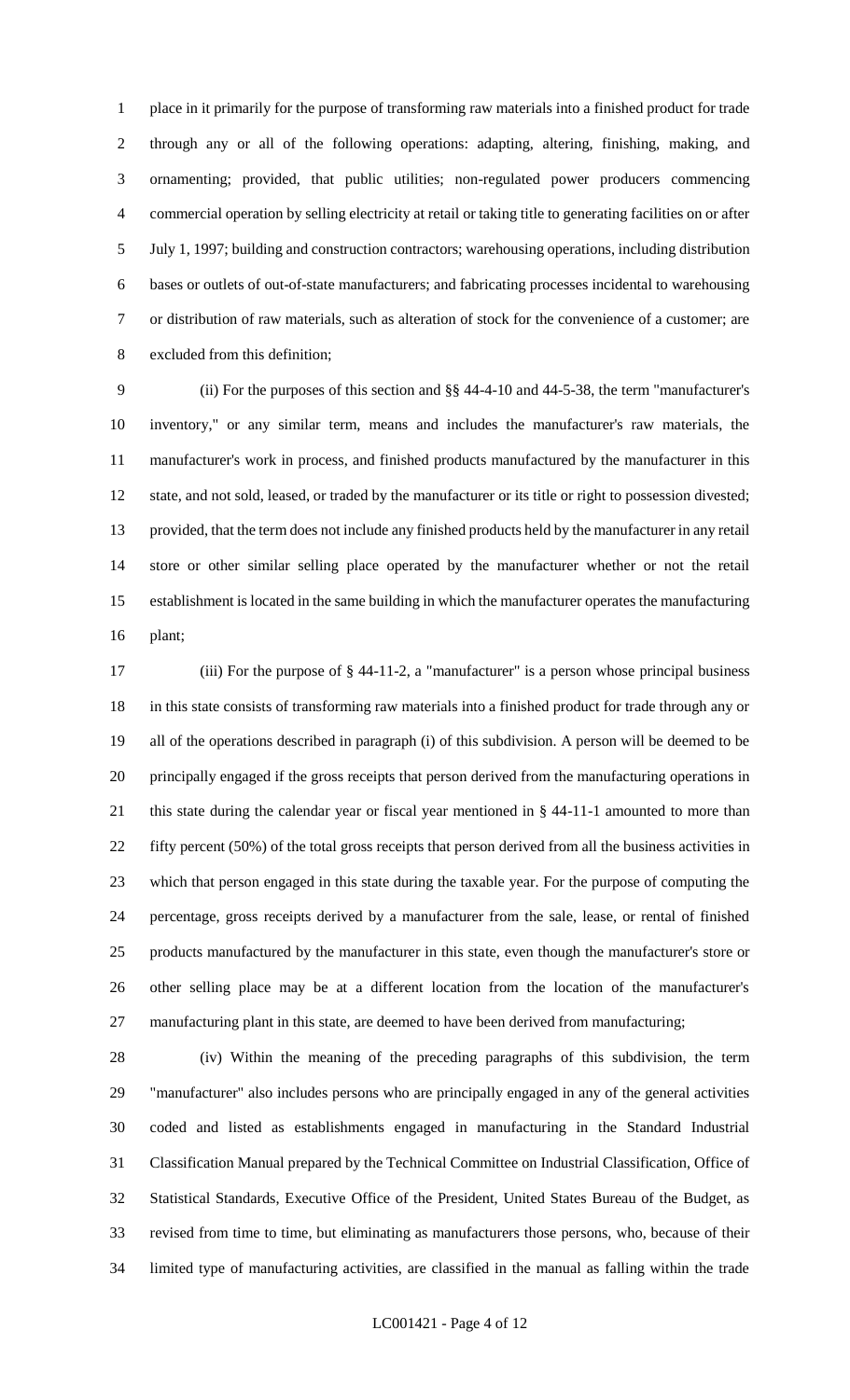place in it primarily for the purpose of transforming raw materials into a finished product for trade through any or all of the following operations: adapting, altering, finishing, making, and ornamenting; provided, that public utilities; non-regulated power producers commencing commercial operation by selling electricity at retail or taking title to generating facilities on or after July 1, 1997; building and construction contractors; warehousing operations, including distribution bases or outlets of out-of-state manufacturers; and fabricating processes incidental to warehousing or distribution of raw materials, such as alteration of stock for the convenience of a customer; are excluded from this definition;

 (ii) For the purposes of this section and §§ 44-4-10 and 44-5-38, the term "manufacturer's inventory," or any similar term, means and includes the manufacturer's raw materials, the manufacturer's work in process, and finished products manufactured by the manufacturer in this state, and not sold, leased, or traded by the manufacturer or its title or right to possession divested; provided, that the term does not include any finished products held by the manufacturer in any retail store or other similar selling place operated by the manufacturer whether or not the retail establishment is located in the same building in which the manufacturer operates the manufacturing plant;

 (iii) For the purpose of § 44-11-2, a "manufacturer" is a person whose principal business in this state consists of transforming raw materials into a finished product for trade through any or all of the operations described in paragraph (i) of this subdivision. A person will be deemed to be principally engaged if the gross receipts that person derived from the manufacturing operations in this state during the calendar year or fiscal year mentioned in § 44-11-1 amounted to more than fifty percent (50%) of the total gross receipts that person derived from all the business activities in which that person engaged in this state during the taxable year. For the purpose of computing the percentage, gross receipts derived by a manufacturer from the sale, lease, or rental of finished products manufactured by the manufacturer in this state, even though the manufacturer's store or other selling place may be at a different location from the location of the manufacturer's manufacturing plant in this state, are deemed to have been derived from manufacturing;

 (iv) Within the meaning of the preceding paragraphs of this subdivision, the term "manufacturer" also includes persons who are principally engaged in any of the general activities coded and listed as establishments engaged in manufacturing in the Standard Industrial Classification Manual prepared by the Technical Committee on Industrial Classification, Office of Statistical Standards, Executive Office of the President, United States Bureau of the Budget, as revised from time to time, but eliminating as manufacturers those persons, who, because of their limited type of manufacturing activities, are classified in the manual as falling within the trade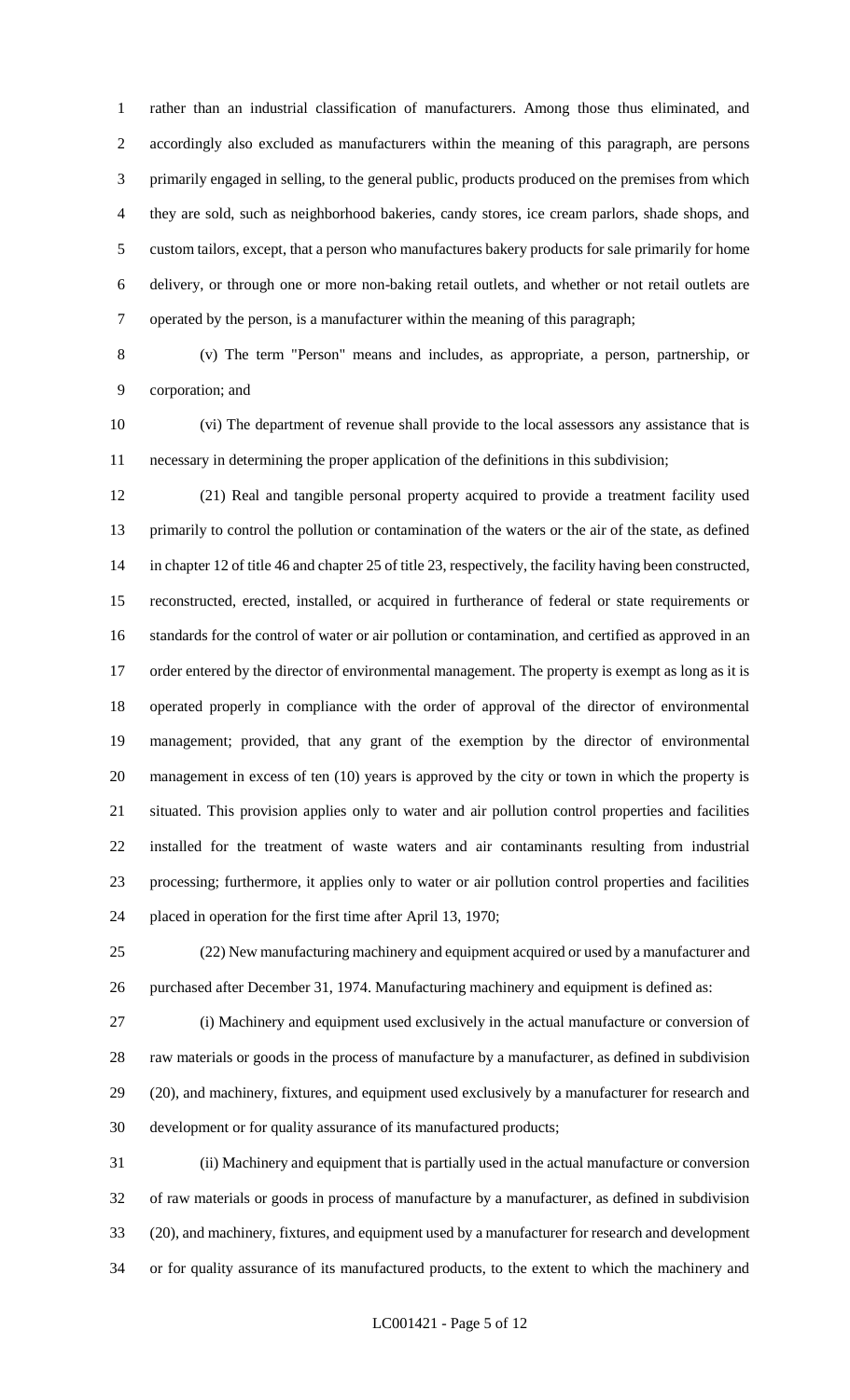rather than an industrial classification of manufacturers. Among those thus eliminated, and accordingly also excluded as manufacturers within the meaning of this paragraph, are persons primarily engaged in selling, to the general public, products produced on the premises from which they are sold, such as neighborhood bakeries, candy stores, ice cream parlors, shade shops, and custom tailors, except, that a person who manufactures bakery products for sale primarily for home delivery, or through one or more non-baking retail outlets, and whether or not retail outlets are operated by the person, is a manufacturer within the meaning of this paragraph;

 (v) The term "Person" means and includes, as appropriate, a person, partnership, or corporation; and

 (vi) The department of revenue shall provide to the local assessors any assistance that is necessary in determining the proper application of the definitions in this subdivision;

 (21) Real and tangible personal property acquired to provide a treatment facility used primarily to control the pollution or contamination of the waters or the air of the state, as defined in chapter 12 of title 46 and chapter 25 of title 23, respectively, the facility having been constructed, reconstructed, erected, installed, or acquired in furtherance of federal or state requirements or standards for the control of water or air pollution or contamination, and certified as approved in an 17 order entered by the director of environmental management. The property is exempt as long as it is operated properly in compliance with the order of approval of the director of environmental management; provided, that any grant of the exemption by the director of environmental management in excess of ten (10) years is approved by the city or town in which the property is situated. This provision applies only to water and air pollution control properties and facilities installed for the treatment of waste waters and air contaminants resulting from industrial processing; furthermore, it applies only to water or air pollution control properties and facilities placed in operation for the first time after April 13, 1970;

 (22) New manufacturing machinery and equipment acquired or used by a manufacturer and purchased after December 31, 1974. Manufacturing machinery and equipment is defined as:

 (i) Machinery and equipment used exclusively in the actual manufacture or conversion of raw materials or goods in the process of manufacture by a manufacturer, as defined in subdivision (20), and machinery, fixtures, and equipment used exclusively by a manufacturer for research and development or for quality assurance of its manufactured products;

 (ii) Machinery and equipment that is partially used in the actual manufacture or conversion of raw materials or goods in process of manufacture by a manufacturer, as defined in subdivision (20), and machinery, fixtures, and equipment used by a manufacturer for research and development or for quality assurance of its manufactured products, to the extent to which the machinery and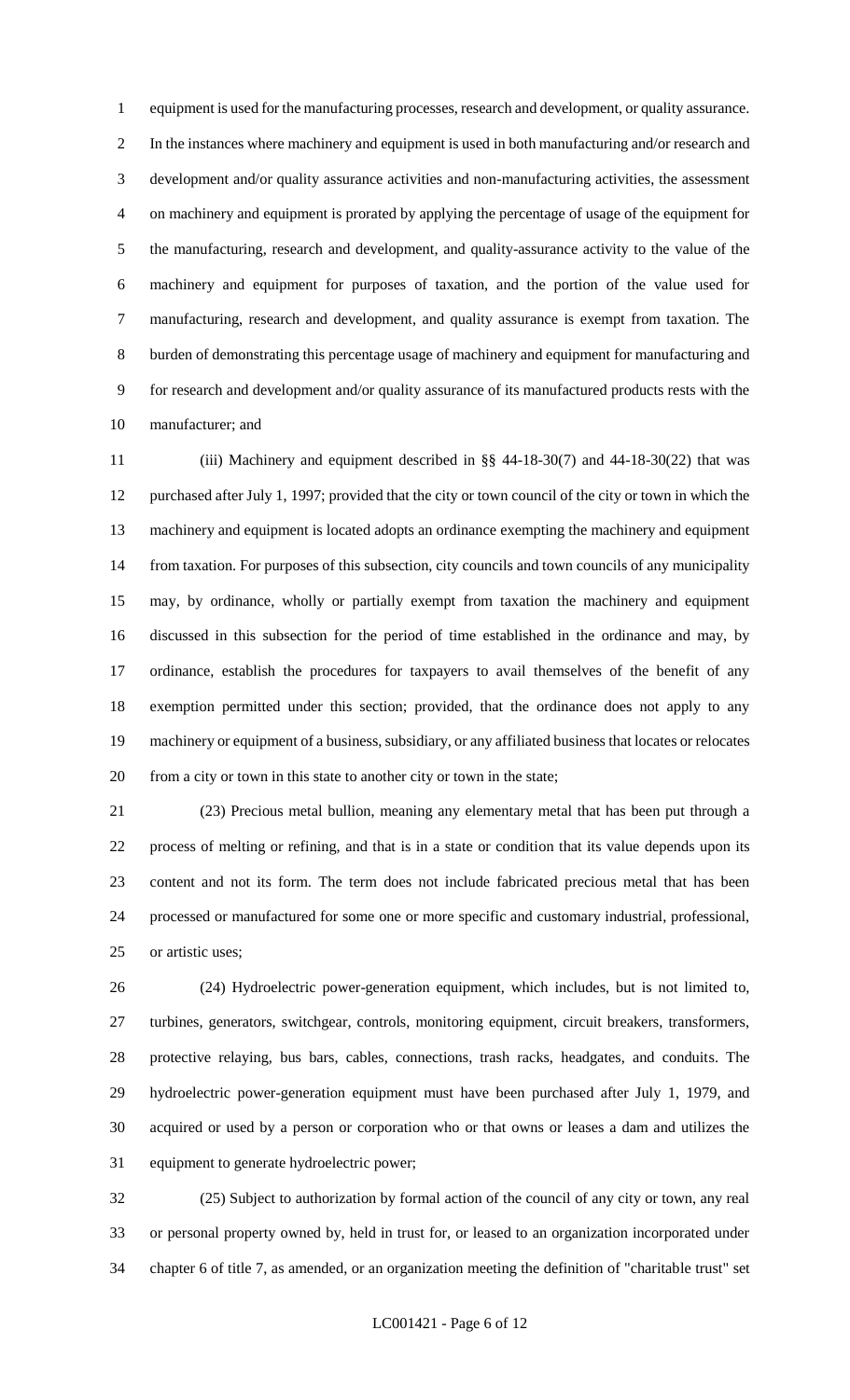equipment is used for the manufacturing processes, research and development, or quality assurance. In the instances where machinery and equipment is used in both manufacturing and/or research and development and/or quality assurance activities and non-manufacturing activities, the assessment on machinery and equipment is prorated by applying the percentage of usage of the equipment for the manufacturing, research and development, and quality-assurance activity to the value of the machinery and equipment for purposes of taxation, and the portion of the value used for manufacturing, research and development, and quality assurance is exempt from taxation. The burden of demonstrating this percentage usage of machinery and equipment for manufacturing and for research and development and/or quality assurance of its manufactured products rests with the manufacturer; and

 (iii) Machinery and equipment described in §§ 44-18-30(7) and 44-18-30(22) that was purchased after July 1, 1997; provided that the city or town council of the city or town in which the machinery and equipment is located adopts an ordinance exempting the machinery and equipment from taxation. For purposes of this subsection, city councils and town councils of any municipality may, by ordinance, wholly or partially exempt from taxation the machinery and equipment discussed in this subsection for the period of time established in the ordinance and may, by ordinance, establish the procedures for taxpayers to avail themselves of the benefit of any exemption permitted under this section; provided, that the ordinance does not apply to any machinery or equipment of a business, subsidiary, or any affiliated business that locates or relocates from a city or town in this state to another city or town in the state;

 (23) Precious metal bullion, meaning any elementary metal that has been put through a process of melting or refining, and that is in a state or condition that its value depends upon its content and not its form. The term does not include fabricated precious metal that has been processed or manufactured for some one or more specific and customary industrial, professional, or artistic uses;

 (24) Hydroelectric power-generation equipment, which includes, but is not limited to, turbines, generators, switchgear, controls, monitoring equipment, circuit breakers, transformers, protective relaying, bus bars, cables, connections, trash racks, headgates, and conduits. The hydroelectric power-generation equipment must have been purchased after July 1, 1979, and acquired or used by a person or corporation who or that owns or leases a dam and utilizes the equipment to generate hydroelectric power;

 (25) Subject to authorization by formal action of the council of any city or town, any real or personal property owned by, held in trust for, or leased to an organization incorporated under chapter 6 of title 7, as amended, or an organization meeting the definition of "charitable trust" set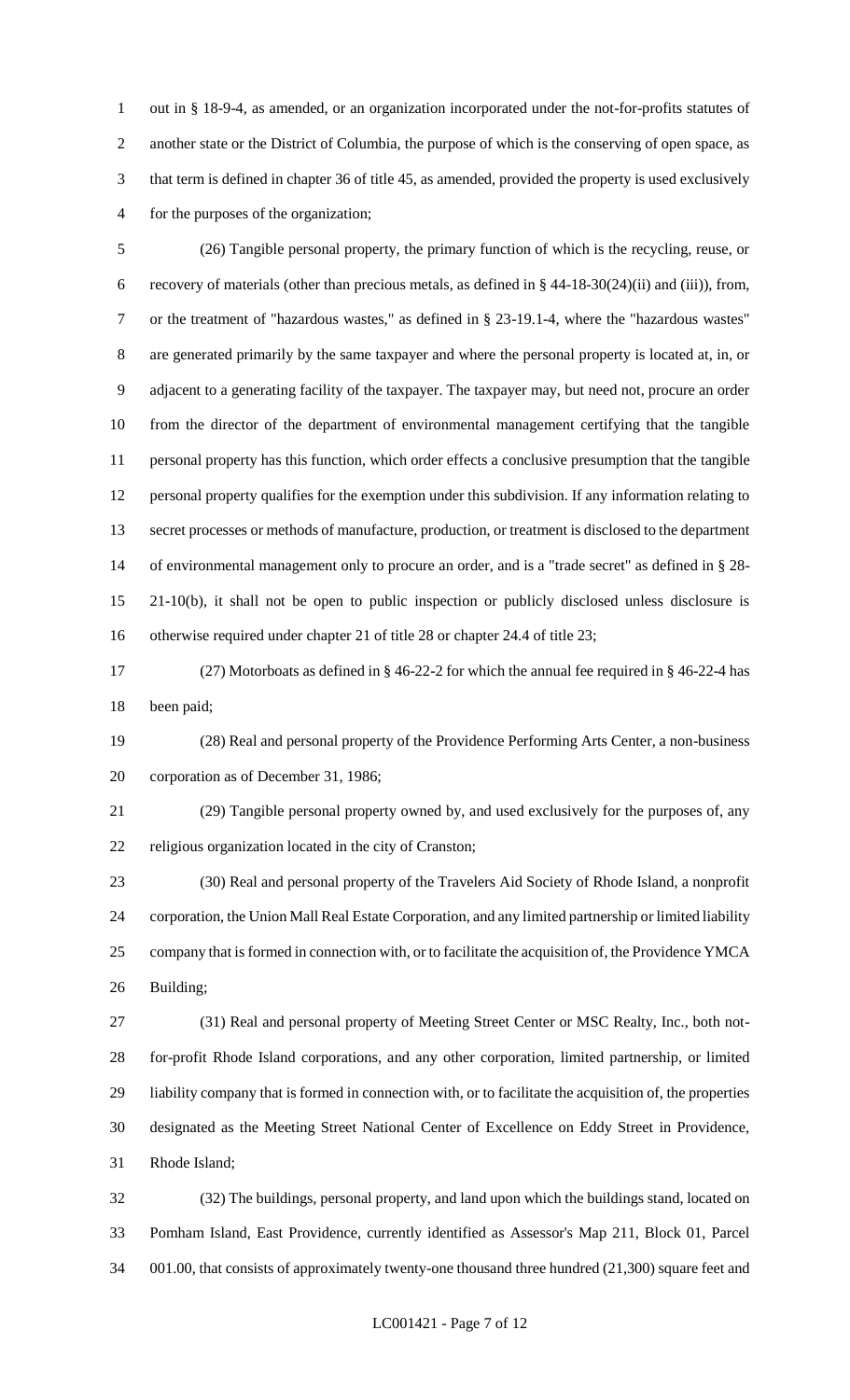out in § 18-9-4, as amended, or an organization incorporated under the not-for-profits statutes of another state or the District of Columbia, the purpose of which is the conserving of open space, as that term is defined in chapter 36 of title 45, as amended, provided the property is used exclusively for the purposes of the organization;

 (26) Tangible personal property, the primary function of which is the recycling, reuse, or recovery of materials (other than precious metals, as defined in § 44-18-30(24)(ii) and (iii)), from, or the treatment of "hazardous wastes," as defined in § 23-19.1-4, where the "hazardous wastes" are generated primarily by the same taxpayer and where the personal property is located at, in, or adjacent to a generating facility of the taxpayer. The taxpayer may, but need not, procure an order from the director of the department of environmental management certifying that the tangible personal property has this function, which order effects a conclusive presumption that the tangible personal property qualifies for the exemption under this subdivision. If any information relating to secret processes or methods of manufacture, production, or treatment is disclosed to the department of environmental management only to procure an order, and is a "trade secret" as defined in § 28- 21-10(b), it shall not be open to public inspection or publicly disclosed unless disclosure is otherwise required under chapter 21 of title 28 or chapter 24.4 of title 23;

 (27) Motorboats as defined in § 46-22-2 for which the annual fee required in § 46-22-4 has been paid;

 (28) Real and personal property of the Providence Performing Arts Center, a non-business corporation as of December 31, 1986;

 (29) Tangible personal property owned by, and used exclusively for the purposes of, any religious organization located in the city of Cranston;

 (30) Real and personal property of the Travelers Aid Society of Rhode Island, a nonprofit corporation, the Union Mall Real Estate Corporation, and any limited partnership or limited liability company that is formed in connection with, or to facilitate the acquisition of, the Providence YMCA Building;

 (31) Real and personal property of Meeting Street Center or MSC Realty, Inc., both not- for-profit Rhode Island corporations, and any other corporation, limited partnership, or limited liability company that is formed in connection with, or to facilitate the acquisition of, the properties designated as the Meeting Street National Center of Excellence on Eddy Street in Providence, Rhode Island;

 (32) The buildings, personal property, and land upon which the buildings stand, located on Pomham Island, East Providence, currently identified as Assessor's Map 211, Block 01, Parcel 001.00, that consists of approximately twenty-one thousand three hundred (21,300) square feet and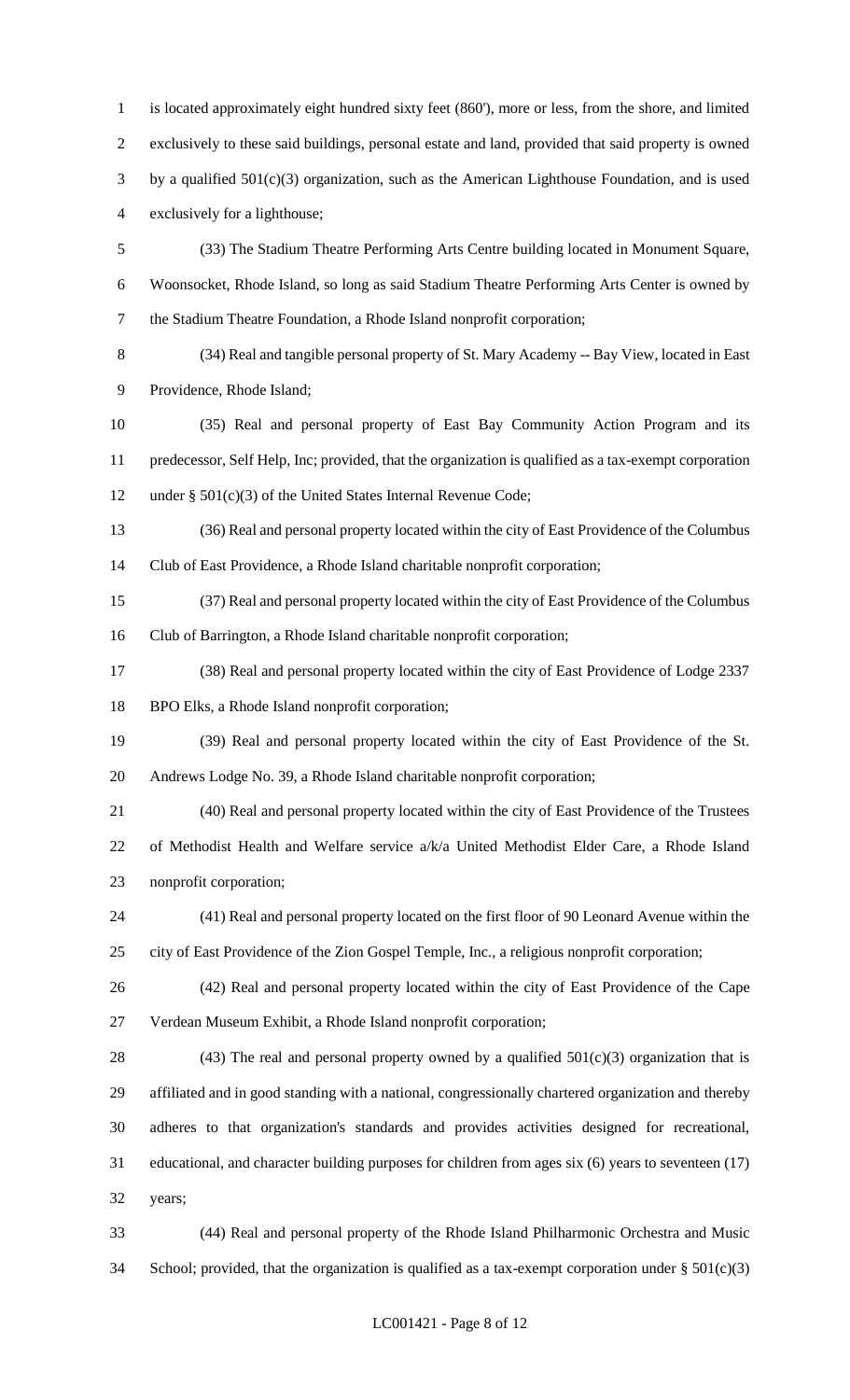is located approximately eight hundred sixty feet (860'), more or less, from the shore, and limited exclusively to these said buildings, personal estate and land, provided that said property is owned by a qualified 501(c)(3) organization, such as the American Lighthouse Foundation, and is used exclusively for a lighthouse; (33) The Stadium Theatre Performing Arts Centre building located in Monument Square, Woonsocket, Rhode Island, so long as said Stadium Theatre Performing Arts Center is owned by the Stadium Theatre Foundation, a Rhode Island nonprofit corporation; (34) Real and tangible personal property of St. Mary Academy -- Bay View, located in East Providence, Rhode Island; (35) Real and personal property of East Bay Community Action Program and its

 predecessor, Self Help, Inc; provided, that the organization is qualified as a tax-exempt corporation under § 501(c)(3) of the United States Internal Revenue Code;

 (36) Real and personal property located within the city of East Providence of the Columbus Club of East Providence, a Rhode Island charitable nonprofit corporation;

 (37) Real and personal property located within the city of East Providence of the Columbus Club of Barrington, a Rhode Island charitable nonprofit corporation;

 (38) Real and personal property located within the city of East Providence of Lodge 2337 BPO Elks, a Rhode Island nonprofit corporation;

 (39) Real and personal property located within the city of East Providence of the St. Andrews Lodge No. 39, a Rhode Island charitable nonprofit corporation;

 (40) Real and personal property located within the city of East Providence of the Trustees of Methodist Health and Welfare service a/k/a United Methodist Elder Care, a Rhode Island nonprofit corporation;

 (41) Real and personal property located on the first floor of 90 Leonard Avenue within the city of East Providence of the Zion Gospel Temple, Inc., a religious nonprofit corporation;

 (42) Real and personal property located within the city of East Providence of the Cape Verdean Museum Exhibit, a Rhode Island nonprofit corporation;

28 (43) The real and personal property owned by a qualified  $501(c)(3)$  organization that is affiliated and in good standing with a national, congressionally chartered organization and thereby adheres to that organization's standards and provides activities designed for recreational, educational, and character building purposes for children from ages six (6) years to seventeen (17) years;

 (44) Real and personal property of the Rhode Island Philharmonic Orchestra and Music 34 School; provided, that the organization is qualified as a tax-exempt corporation under  $\S 501(c)(3)$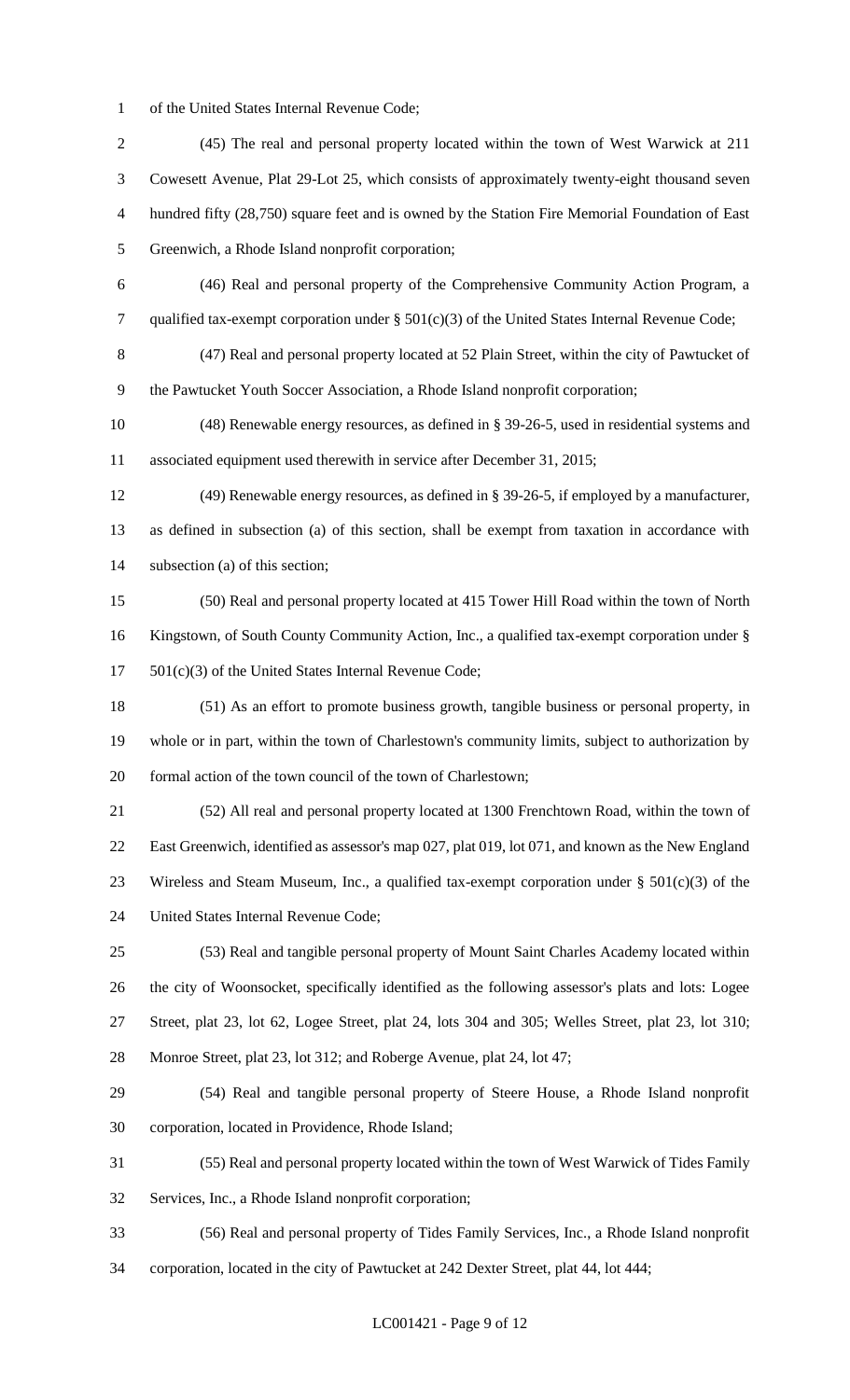of the United States Internal Revenue Code;

 (45) The real and personal property located within the town of West Warwick at 211 Cowesett Avenue, Plat 29-Lot 25, which consists of approximately twenty-eight thousand seven hundred fifty (28,750) square feet and is owned by the Station Fire Memorial Foundation of East Greenwich, a Rhode Island nonprofit corporation; (46) Real and personal property of the Comprehensive Community Action Program, a qualified tax-exempt corporation under § 501(c)(3) of the United States Internal Revenue Code; (47) Real and personal property located at 52 Plain Street, within the city of Pawtucket of the Pawtucket Youth Soccer Association, a Rhode Island nonprofit corporation; (48) Renewable energy resources, as defined in § 39-26-5, used in residential systems and associated equipment used therewith in service after December 31, 2015; (49) Renewable energy resources, as defined in § 39-26-5, if employed by a manufacturer, as defined in subsection (a) of this section, shall be exempt from taxation in accordance with subsection (a) of this section; (50) Real and personal property located at 415 Tower Hill Road within the town of North Kingstown, of South County Community Action, Inc., a qualified tax-exempt corporation under § 501(c)(3) of the United States Internal Revenue Code; (51) As an effort to promote business growth, tangible business or personal property, in whole or in part, within the town of Charlestown's community limits, subject to authorization by formal action of the town council of the town of Charlestown; (52) All real and personal property located at 1300 Frenchtown Road, within the town of East Greenwich, identified as assessor's map 027, plat 019, lot 071, and known as the New England 23 Wireless and Steam Museum, Inc., a qualified tax-exempt corporation under  $\S$  501(c)(3) of the United States Internal Revenue Code; (53) Real and tangible personal property of Mount Saint Charles Academy located within the city of Woonsocket, specifically identified as the following assessor's plats and lots: Logee Street, plat 23, lot 62, Logee Street, plat 24, lots 304 and 305; Welles Street, plat 23, lot 310; Monroe Street, plat 23, lot 312; and Roberge Avenue, plat 24, lot 47; (54) Real and tangible personal property of Steere House, a Rhode Island nonprofit corporation, located in Providence, Rhode Island; (55) Real and personal property located within the town of West Warwick of Tides Family Services, Inc., a Rhode Island nonprofit corporation; (56) Real and personal property of Tides Family Services, Inc., a Rhode Island nonprofit corporation, located in the city of Pawtucket at 242 Dexter Street, plat 44, lot 444;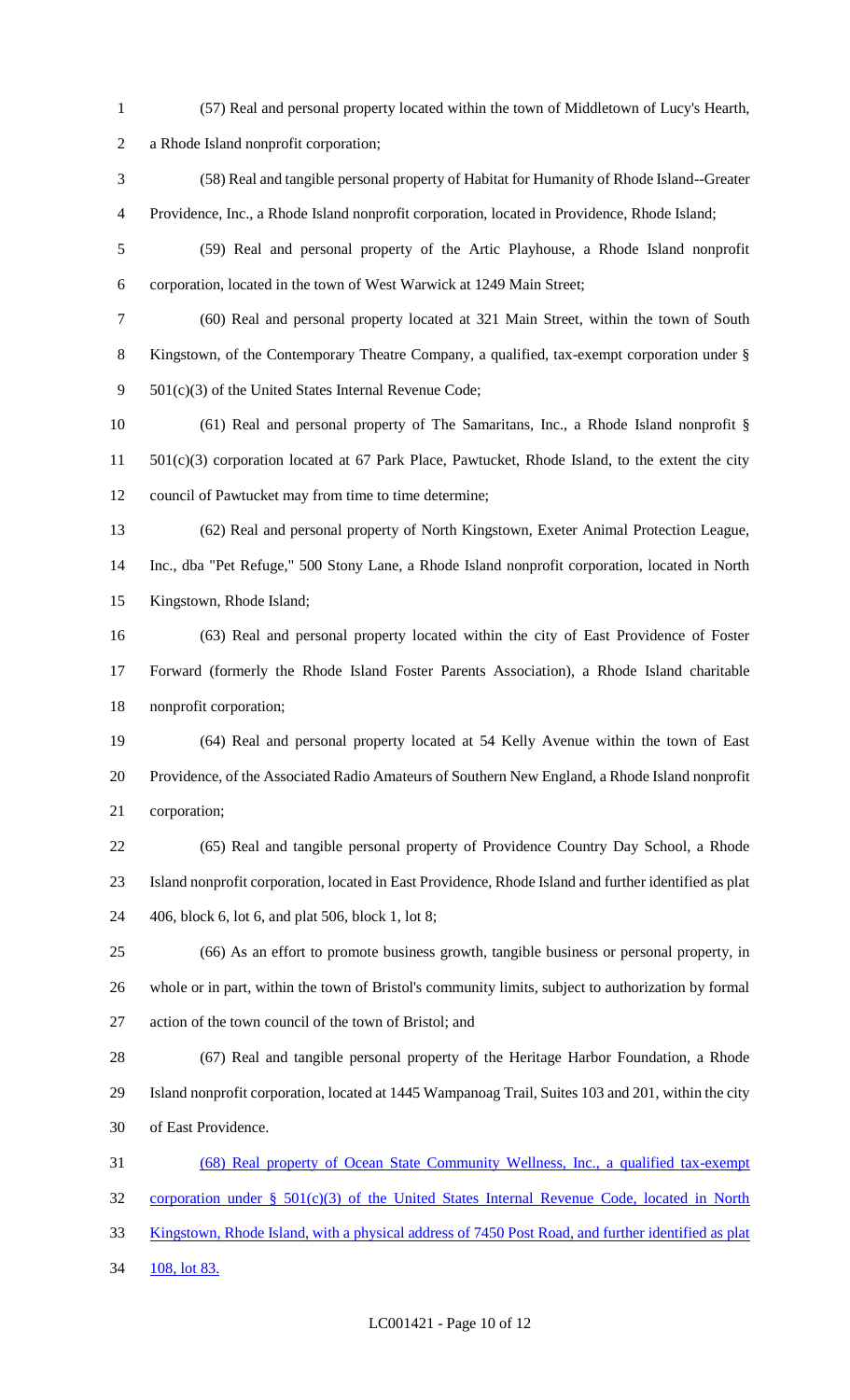(57) Real and personal property located within the town of Middletown of Lucy's Hearth, a Rhode Island nonprofit corporation; (58) Real and tangible personal property of Habitat for Humanity of Rhode Island--Greater Providence, Inc., a Rhode Island nonprofit corporation, located in Providence, Rhode Island; (59) Real and personal property of the Artic Playhouse, a Rhode Island nonprofit corporation, located in the town of West Warwick at 1249 Main Street; (60) Real and personal property located at 321 Main Street, within the town of South Kingstown, of the Contemporary Theatre Company, a qualified, tax-exempt corporation under § 9 501(c)(3) of the United States Internal Revenue Code; (61) Real and personal property of The Samaritans, Inc., a Rhode Island nonprofit § 501(c)(3) corporation located at 67 Park Place, Pawtucket, Rhode Island, to the extent the city council of Pawtucket may from time to time determine; (62) Real and personal property of North Kingstown, Exeter Animal Protection League, Inc., dba "Pet Refuge," 500 Stony Lane, a Rhode Island nonprofit corporation, located in North Kingstown, Rhode Island; (63) Real and personal property located within the city of East Providence of Foster Forward (formerly the Rhode Island Foster Parents Association), a Rhode Island charitable nonprofit corporation; (64) Real and personal property located at 54 Kelly Avenue within the town of East Providence, of the Associated Radio Amateurs of Southern New England, a Rhode Island nonprofit corporation; (65) Real and tangible personal property of Providence Country Day School, a Rhode Island nonprofit corporation, located in East Providence, Rhode Island and further identified as plat 406, block 6, lot 6, and plat 506, block 1, lot 8; (66) As an effort to promote business growth, tangible business or personal property, in whole or in part, within the town of Bristol's community limits, subject to authorization by formal action of the town council of the town of Bristol; and (67) Real and tangible personal property of the Heritage Harbor Foundation, a Rhode Island nonprofit corporation, located at 1445 Wampanoag Trail, Suites 103 and 201, within the city of East Providence. (68) Real property of Ocean State Community Wellness, Inc., a qualified tax-exempt corporation under § 501(c)(3) of the United States Internal Revenue Code, located in North Kingstown, Rhode Island, with a physical address of 7450 Post Road, and further identified as plat 34 108, lot 83.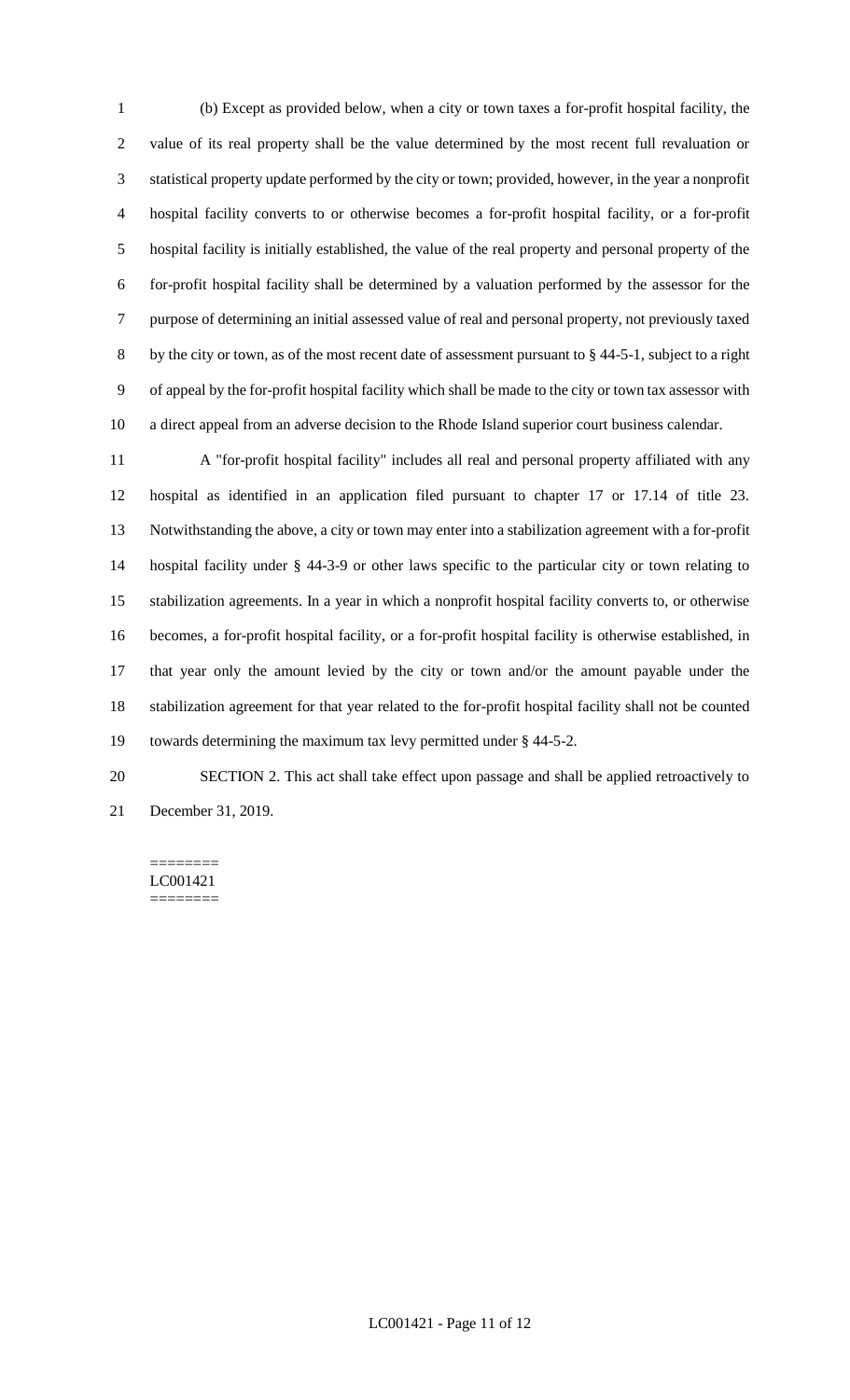(b) Except as provided below, when a city or town taxes a for-profit hospital facility, the value of its real property shall be the value determined by the most recent full revaluation or statistical property update performed by the city or town; provided, however, in the year a nonprofit hospital facility converts to or otherwise becomes a for-profit hospital facility, or a for-profit hospital facility is initially established, the value of the real property and personal property of the for-profit hospital facility shall be determined by a valuation performed by the assessor for the purpose of determining an initial assessed value of real and personal property, not previously taxed by the city or town, as of the most recent date of assessment pursuant to § 44-5-1, subject to a right of appeal by the for-profit hospital facility which shall be made to the city or town tax assessor with a direct appeal from an adverse decision to the Rhode Island superior court business calendar.

 A "for-profit hospital facility" includes all real and personal property affiliated with any hospital as identified in an application filed pursuant to chapter 17 or 17.14 of title 23. Notwithstanding the above, a city or town may enter into a stabilization agreement with a for-profit hospital facility under § 44-3-9 or other laws specific to the particular city or town relating to stabilization agreements. In a year in which a nonprofit hospital facility converts to, or otherwise becomes, a for-profit hospital facility, or a for-profit hospital facility is otherwise established, in that year only the amount levied by the city or town and/or the amount payable under the stabilization agreement for that year related to the for-profit hospital facility shall not be counted towards determining the maximum tax levy permitted under § 44-5-2.

 SECTION 2. This act shall take effect upon passage and shall be applied retroactively to December 31, 2019.

#### ======== LC001421 ========